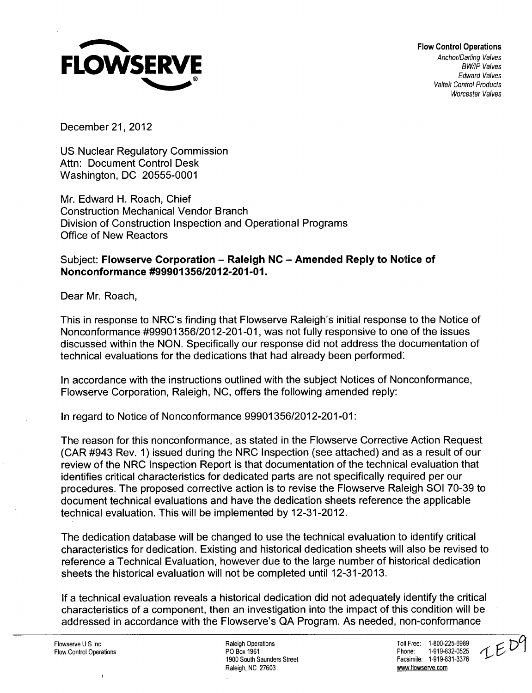

December 21, 2012

US Nuclear Regulatory Commission Attn: Document Control Desk Washington, DC 20555-0001

Mr. Edward H. Roach, Chief Construction Mechanical Vendor Branch Division of Construction Inspection and Operational Programs Office of New Reactors

## Subject: Flowserve Corporation - Raleigh **NC** - Amended Reply to Notice of Nonconformance **#99901356/2012-201-01.**

Dear Mr. Roach,

This in response to NRC's finding that Flowserve Raleigh's initial response to the Notice of Nonconformance #99901356/2012-201-01, was not fully responsive to one of the issues discussed within the NON. Specifically our response did not address the documentation of technical evaluations for the dedications that had already been performed:

In accordance with the instructions outlined with the subject Notices of Nonconformance, Flowserve Corporation, Raleigh, NC, offers the following amended reply:

In regard to Notice of Nonconformance 99901356/2012-201-01:

The reason for this nonconformance, as stated in the Flowserve Corrective Action Request (CAR #943 Rev. 1) issued during the NRC Inspection (see attached) and as a result of our review of the NRC Inspection Report is that documentation of the technical evaluation that identifies critical characteristics for dedicated parts are not specifically required per our procedures. The proposed corrective action is to revise the Flowserve Raleigh **SOI** 70-39 to document technical evaluations and have the dedication sheets reference the applicable technical evaluation. This will be implemented by 12-31-2012.

The dedication database will be changed to use the technical evaluation to identify critical characteristics for dedication. Existing and historical dedication sheets will also be revised to reference a Technical Evaluation, however due to the large number of historical dedication sheets the historical evaluation will not be completed until 12-31-2013.

If a technical evaluation reveals a historical dedication did not adequately identify the critical characteristics of a component, then an investigation into the impact of this condition will be addressed in accordance with the Flowserve's QA Program. As needed, non-conformance

Ī.

Flowserve U S Inc November 2001 2015-000 12 Raleigh Operations National Communications Communications of Toll Free: 1-800-225-6989<br>Po Box 1961 1971 2002 2003 2004 2016 2021 2022 2023 2024 2022 2023 2024 2022 2033 2042 2023 Flow Control Operations **Flow Control Operations** PO Box 1961 Phone: 1-919-832-0525<br>1900 South Saunders Street **Phone: 1-919-831-3376** Pacsimile: 1-919-831-3376 1900 South Saunders Street Raleigh, NC 27603 www.flowserve.com

IED9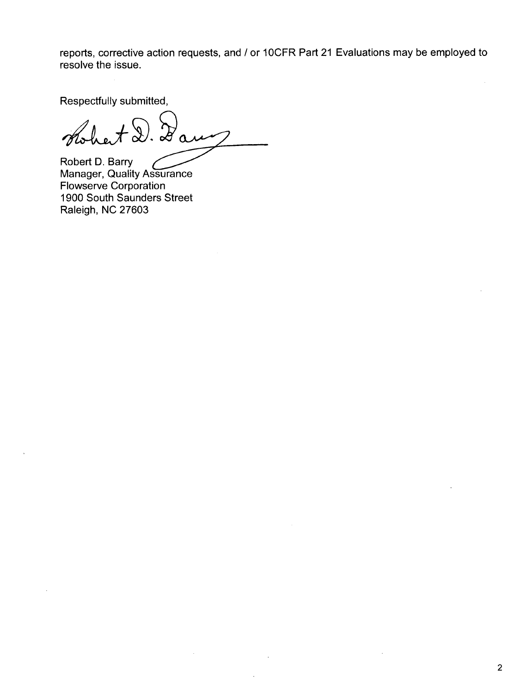reports, corrective action requests, and / or 10CFR Part 21 Evaluations may be employed to resolve the issue.

Respectfully submitted,

 $A\bigcircledast$  $\mathcal{Z}_{\alpha}$ 

Robert **D.** Barry Robert D. Barry<br>Manager, Quality Assurance Flowserve Corporation 1900 South Saunders Street Raleigh, NC 27603